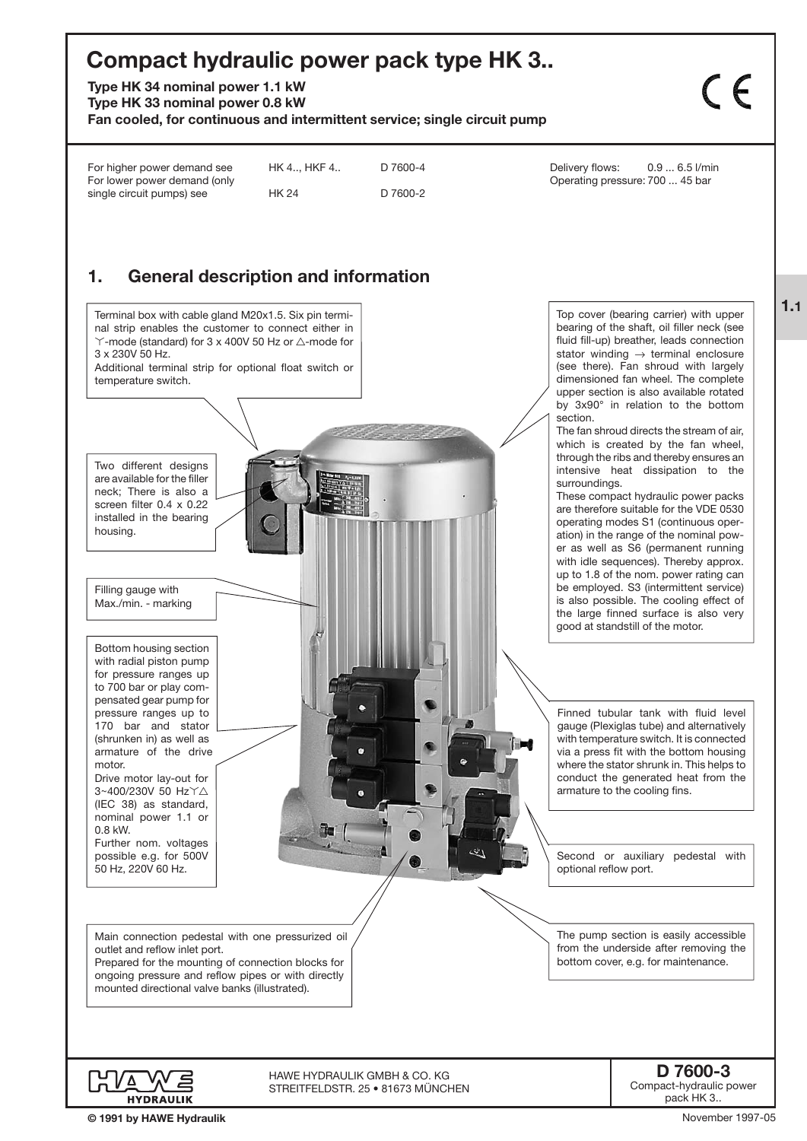# **Compact hydraulic power pack type HK 3..**

**Type HK 34 nominal power 1.1 kW**

**Type HK 33 nominal power 0.8 kW**

**Fan cooled, for continuous and intermittent service; single circuit pump**

 $C$ 

| For lower power demand (only<br>single circuit pumps) see                                                                                                                                                                                                                                                                                                                                                                                                                                                                                                                            | HK 4, HKF 4<br><b>HK 24</b> | D 7600-4<br>D 7600-2 | Delivery flows:<br>$0.96.5$ l/min<br>Operating pressure: 700  45 bar                                                                                                                                                                                                                                                                                                                                                                                                                                                                                                                                                                                                                                                                                                                                                                                                                                                                                                                                                  |
|--------------------------------------------------------------------------------------------------------------------------------------------------------------------------------------------------------------------------------------------------------------------------------------------------------------------------------------------------------------------------------------------------------------------------------------------------------------------------------------------------------------------------------------------------------------------------------------|-----------------------------|----------------------|-----------------------------------------------------------------------------------------------------------------------------------------------------------------------------------------------------------------------------------------------------------------------------------------------------------------------------------------------------------------------------------------------------------------------------------------------------------------------------------------------------------------------------------------------------------------------------------------------------------------------------------------------------------------------------------------------------------------------------------------------------------------------------------------------------------------------------------------------------------------------------------------------------------------------------------------------------------------------------------------------------------------------|
| <b>General description and information</b><br>1.                                                                                                                                                                                                                                                                                                                                                                                                                                                                                                                                     |                             |                      |                                                                                                                                                                                                                                                                                                                                                                                                                                                                                                                                                                                                                                                                                                                                                                                                                                                                                                                                                                                                                       |
| Terminal box with cable gland M20x1.5. Six pin termi-<br>nal strip enables the customer to connect either in<br>$\Upsilon$ -mode (standard) for 3 x 400V 50 Hz or $\triangle$ -mode for<br>3 x 230V 50 Hz.<br>Additional terminal strip for optional float switch or<br>temperature switch.<br>Two different designs<br>are available for the filler<br>neck; There is also a<br>screen filter $0.4 \times 0.22$<br>installed in the bearing<br>housing.<br>Filling gauge with<br>Max./min. - marking<br>Bottom housing section<br>with radial piston pump<br>for pressure ranges up |                             |                      | Top cover (bearing carrier) with upper<br>bearing of the shaft, oil filler neck (see<br>fluid fill-up) breather, leads connection<br>stator winding $\rightarrow$ terminal enclosure<br>(see there). Fan shroud with largely<br>dimensioned fan wheel. The complete<br>upper section is also available rotated<br>by 3x90° in relation to the bottom<br>section.<br>The fan shroud directs the stream of air,<br>which is created by the fan wheel,<br>through the ribs and thereby ensures an<br>intensive heat dissipation to the<br>surroundings.<br>These compact hydraulic power packs<br>are therefore suitable for the VDE 0530<br>operating modes S1 (continuous oper-<br>ation) in the range of the nominal pow-<br>er as well as S6 (permanent running<br>with idle sequences). Thereby approx.<br>up to 1.8 of the nom. power rating can<br>be employed. S3 (intermittent service)<br>is also possible. The cooling effect of<br>the large finned surface is also very<br>good at standstill of the motor. |
| to 700 bar or play com-<br>pensated gear pump for<br>pressure ranges up to<br>170 bar and stator<br>(shrunken in) as well as<br>armature of the drive<br>motor.<br>Drive motor lay-out for<br>3~400/230V 50 Hz Y△<br>(IEC 38) as standard,<br>nominal power 1.1 or<br>0.8 kW.<br>Further nom. voltages                                                                                                                                                                                                                                                                               |                             |                      | Finned tubular tank with fluid level<br>gauge (Plexiglas tube) and alternatively<br>with temperature switch. It is connected<br>via a press fit with the bottom housing<br>where the stator shrunk in. This helps to<br>conduct the generated heat from the<br>armature to the cooling fins.                                                                                                                                                                                                                                                                                                                                                                                                                                                                                                                                                                                                                                                                                                                          |
| possible e.g. for 500V<br>50 Hz, 220V 60 Hz.                                                                                                                                                                                                                                                                                                                                                                                                                                                                                                                                         |                             |                      | Second or auxiliary pedestal with<br>optional reflow port.                                                                                                                                                                                                                                                                                                                                                                                                                                                                                                                                                                                                                                                                                                                                                                                                                                                                                                                                                            |
| Main connection pedestal with one pressurized oil<br>outlet and reflow inlet port.<br>Prepared for the mounting of connection blocks for<br>ongoing pressure and reflow pipes or with directly<br>mounted directional valve banks (illustrated).                                                                                                                                                                                                                                                                                                                                     |                             |                      | The pump section is easily accessible<br>from the underside after removing the<br>bottom cover, e.g. for maintenance.                                                                                                                                                                                                                                                                                                                                                                                                                                                                                                                                                                                                                                                                                                                                                                                                                                                                                                 |

STREITFELDSTR. 25 • 81673 MÜNCHEN

Compact-hydraulic power pack HK 3..

November 1997-05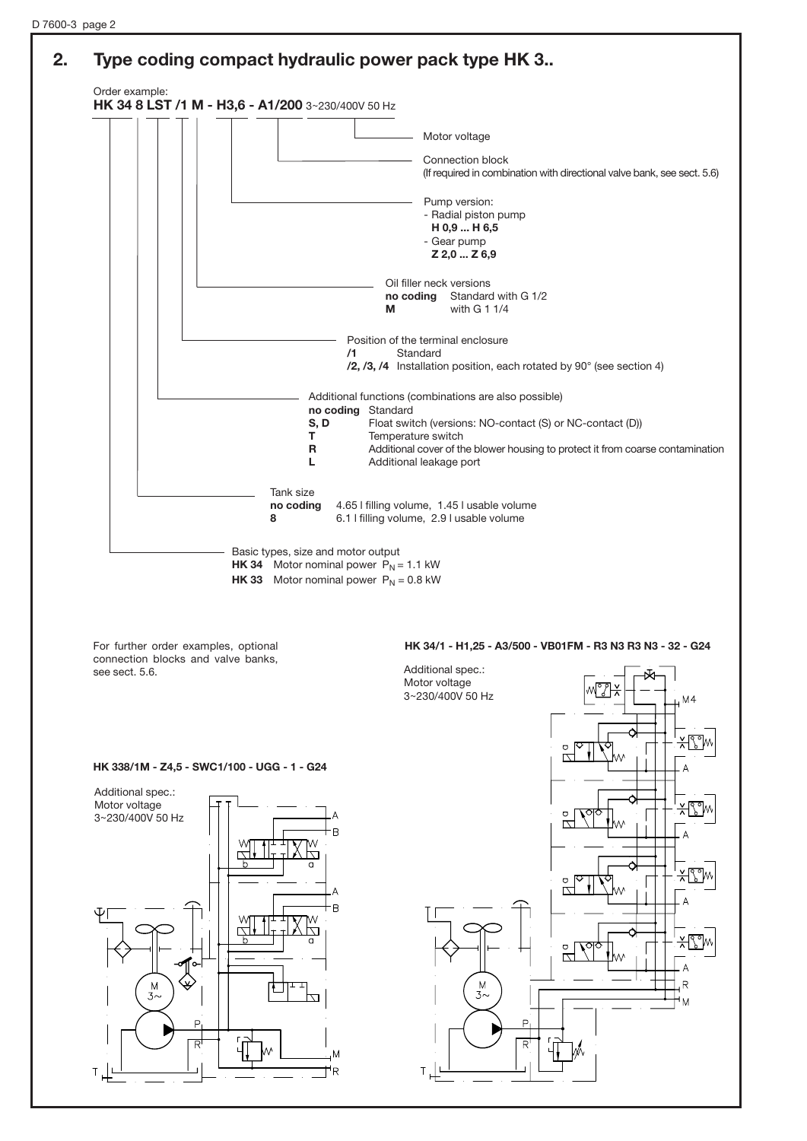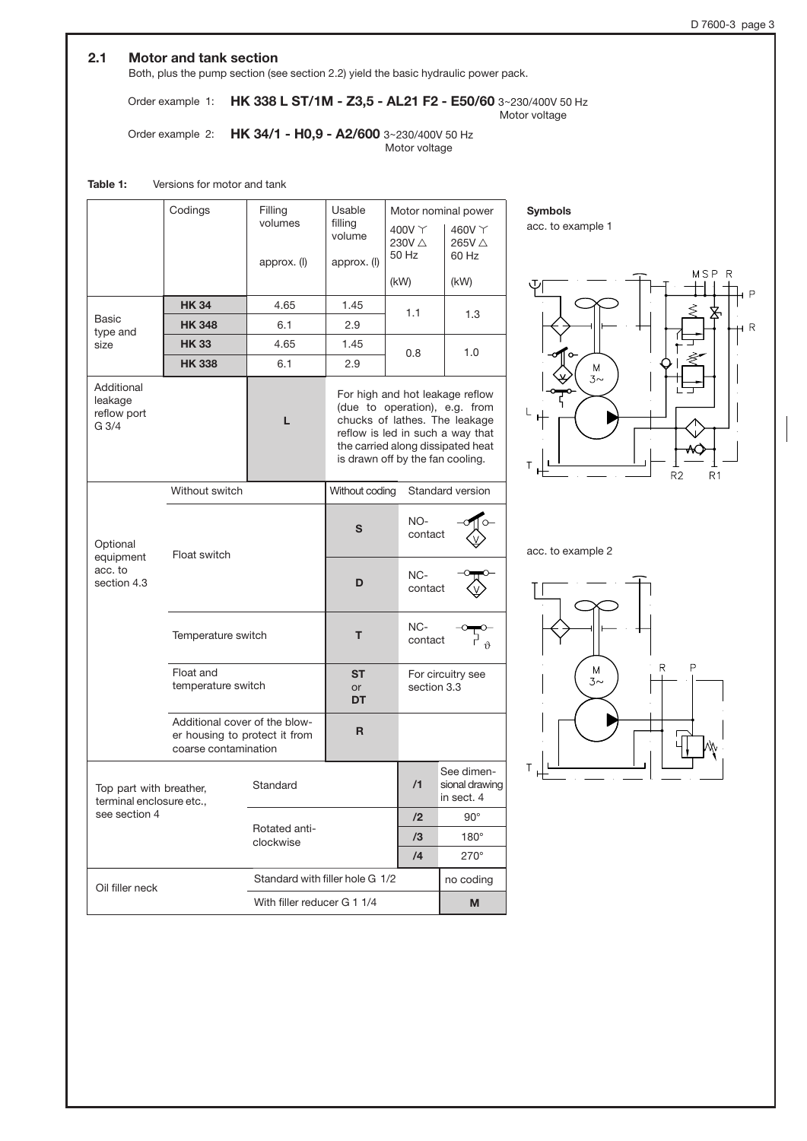## **2.1 Motor and tank section**

Both, plus the pump section (see section 2.2) yield the basic hydraulic power pack.

Order example 1: **HK 338 L ST/1M - Z3,5 - AL21 F2 - E50/60** 3~230/400V 50 Hz Motor voltage

Order example 2: **HK 34/1 - H0,9 - A2/600** 3~230/400V 50 Hz Motor voltage

## **Table 1:** Versions for motor and tank

|                                               | Codings                                                                                | Filling<br>volumes<br>approx. (I) | Usable<br>filling<br>volume<br>approx. (I)                                                                                                                                                                     | $400V \Upsilon$<br>230V △<br>50 Hz | Motor nominal power<br>460V Y<br>265V △<br>60 Hz |  |
|-----------------------------------------------|----------------------------------------------------------------------------------------|-----------------------------------|----------------------------------------------------------------------------------------------------------------------------------------------------------------------------------------------------------------|------------------------------------|--------------------------------------------------|--|
|                                               |                                                                                        |                                   |                                                                                                                                                                                                                | (kW)                               | (kW)                                             |  |
|                                               | <b>HK34</b>                                                                            | 4.65                              | 1.45                                                                                                                                                                                                           | 1.1                                | 1.3                                              |  |
| Basic<br>type and                             | <b>HK 348</b>                                                                          | 6.1                               | 2.9                                                                                                                                                                                                            |                                    |                                                  |  |
| size                                          | <b>HK 33</b>                                                                           | 4.65                              | 1.45                                                                                                                                                                                                           | 0.8                                | 1.0                                              |  |
|                                               | <b>HK338</b>                                                                           | 6.1                               | 2.9                                                                                                                                                                                                            |                                    |                                                  |  |
| Additional<br>leakage<br>reflow port<br>G 3/4 | L                                                                                      |                                   | For high and hot leakage reflow<br>(due to operation), e.g. from<br>chucks of lathes. The leakage<br>reflow is led in such a way that<br>the carried along dissipated heat<br>is drawn off by the fan cooling. |                                    |                                                  |  |
|                                               | Without switch                                                                         |                                   | Without coding                                                                                                                                                                                                 |                                    | Standard version                                 |  |
| Optional<br>equipment                         | Float switch                                                                           |                                   | NO-<br>S<br>contact                                                                                                                                                                                            |                                    |                                                  |  |
| acc. to<br>section 4.3                        |                                                                                        |                                   | D                                                                                                                                                                                                              | NC-<br>contact                     |                                                  |  |
|                                               | Temperature switch                                                                     |                                   | т                                                                                                                                                                                                              | NC-<br>contact                     |                                                  |  |
|                                               | Float and<br>temperature switch                                                        |                                   | <b>ST</b><br>or<br>DT                                                                                                                                                                                          | section 3.3                        | For circuitry see                                |  |
|                                               | Additional cover of the blow-<br>er housing to protect it from<br>coarse contamination |                                   | R                                                                                                                                                                                                              |                                    |                                                  |  |
|                                               | Top part with breather,<br>terminal enclosure etc<br>see section 4                     |                                   |                                                                                                                                                                                                                | /1                                 | See dimen-<br>sional drawing<br>in sect. 4       |  |
|                                               |                                                                                        |                                   |                                                                                                                                                                                                                | /2                                 | $90^\circ$                                       |  |
|                                               |                                                                                        | Rotated anti-<br>clockwise        |                                                                                                                                                                                                                | /3                                 | $180^\circ$                                      |  |
|                                               |                                                                                        |                                   |                                                                                                                                                                                                                | /4                                 | $270^\circ$                                      |  |
| Oil filler neck                               |                                                                                        | Standard with filler hole G 1/2   |                                                                                                                                                                                                                |                                    | no coding                                        |  |
|                                               |                                                                                        |                                   | With filler reducer G 1 1/4                                                                                                                                                                                    |                                    | M                                                |  |

**Symbols**

acc. to example 1



acc. to example 2

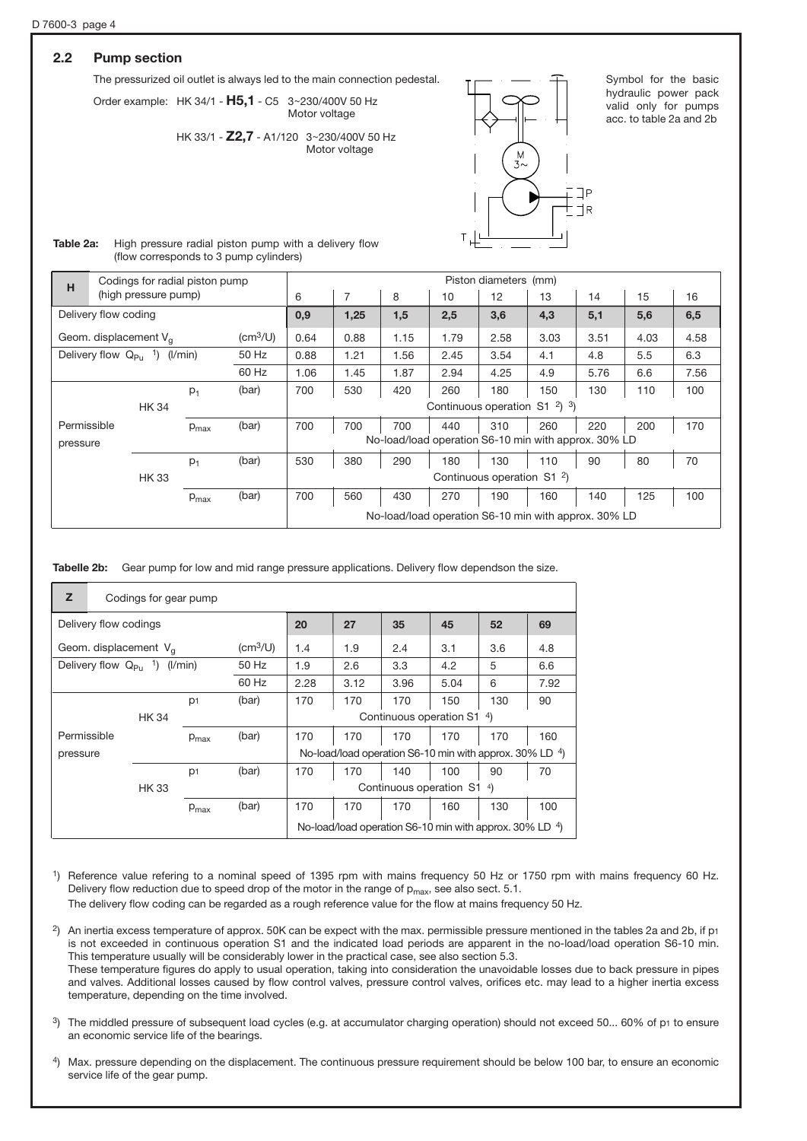# **2.2 Pump section**

The pressurized oil outlet is always led to the main connection pedestal.

Order example: HK 34/1 - H5,1 - C5 3~230/400V 50 Hz Motor voltage

> HK 33/1 - **Z2,7** - A1/120 3~230/400V 50 Hz Motor voltage



Symbol for the basic hydraulic power pack valid only for pumps acc. to table 2a and 2b

| Table 2a: | High pressure radial piston pump with a delivery flow |
|-----------|-------------------------------------------------------|
|           | (flow corresponds to 3 pump cylinders)                |

| H                    |                                 | Codings for radial piston pump    |                  |                                     |                                                      |      |                                        |                                                         | Piston diameters (mm) |      |      |      |      |
|----------------------|---------------------------------|-----------------------------------|------------------|-------------------------------------|------------------------------------------------------|------|----------------------------------------|---------------------------------------------------------|-----------------------|------|------|------|------|
|                      |                                 | (high pressure pump)              |                  |                                     | 6                                                    | 7    | 8                                      | 10                                                      | 12                    | 13   | 14   | 15   | 16   |
| Delivery flow coding |                                 |                                   | 0,9              | 1,25                                | 1,5                                                  | 2,5  | 3,6                                    | 4,3                                                     | 5,1                   | 5,6  | 6,5  |      |      |
|                      | Geom. displacement $V_{\alpha}$ |                                   |                  | $\left(\text{cm}^3/\text{U}\right)$ | 0.64                                                 | 0.88 | 1.15                                   | 1.79                                                    | 2.58                  | 3.03 | 3.51 | 4.03 | 4.58 |
|                      |                                 | Delivery flow $Q_{PU}$ 1) (I/min) |                  | 50 Hz                               | 0.88                                                 | 1.21 | 1.56                                   | 2.45                                                    | 3.54                  | 4.1  | 4.8  | 5.5  | 6.3  |
|                      |                                 |                                   |                  | 60 Hz                               | 1.06                                                 | 1.45 | 1.87                                   | 2.94                                                    | 4.25                  | 4.9  | 5.76 | 6.6  | 7.56 |
|                      |                                 |                                   | $p_1$            | (bar)                               | 700                                                  | 530  | 420                                    | 260                                                     | 180                   | 150  | 130  | 110  | 100  |
|                      |                                 | <b>HK 34</b>                      |                  |                                     |                                                      |      |                                        | Continuous operation $S1$ <sup>2</sup> ) <sup>3</sup> ) |                       |      |      |      |      |
| Permissible          |                                 |                                   | $p_{\text{max}}$ | (bar)                               | 700                                                  | 700  | 700                                    | 440                                                     | 310                   | 260  | 220  | 200  | 170  |
| pressure             |                                 |                                   |                  |                                     | No-load/load operation S6-10 min with approx. 30% LD |      |                                        |                                                         |                       |      |      |      |      |
|                      |                                 |                                   | $p_1$            | (bar)                               | 530                                                  | 380  | 290                                    | 180                                                     | 130                   | 110  | 90   | 80   | 70   |
| <b>HK33</b>          |                                 |                                   |                  |                                     |                                                      |      | Continuous operation S1 <sup>2</sup> ) |                                                         |                       |      |      |      |      |
|                      |                                 |                                   | $p_{\text{max}}$ | (bar)                               | 700                                                  | 560  | 430                                    | 270                                                     | 190                   | 160  | 140  | 125  | 100  |
|                      |                                 |                                   |                  |                                     | No-load/load operation S6-10 min with approx. 30% LD |      |                                        |                                                         |                       |      |      |      |      |

**Tabelle 2b:** Gear pump for low and mid range pressure applications. Delivery flow dependson the size.

| Z                                                           | Codings for gear pump |                |                  |                            |                                                         |      |      |      |                                                               |      |
|-------------------------------------------------------------|-----------------------|----------------|------------------|----------------------------|---------------------------------------------------------|------|------|------|---------------------------------------------------------------|------|
|                                                             | Delivery flow codings |                |                  |                            | 20                                                      | 27   | 35   | 45   | 52                                                            | 69   |
| $\text{(cm}^3/\text{U})$<br>Geom. displacement $V_{\alpha}$ |                       |                |                  | 1.4                        | 1.9                                                     | 2.4  | 3.1  | 3.6  | 4.8                                                           |      |
| Delivery flow $Q_{\text{Pl}}$ <sup>1</sup> )<br>(I/min)     |                       |                | 50 Hz            | 1.9                        | 2.6                                                     | 3.3  | 4.2  | 5    | 6.6                                                           |      |
|                                                             |                       |                |                  | 60 Hz                      | 2.28                                                    | 3.12 | 3.96 | 5.04 | 6                                                             | 7.92 |
|                                                             |                       | D <sub>1</sub> |                  | (bar)                      | 170                                                     | 170  | 170  | 150  | 130                                                           | 90   |
|                                                             | <b>HK 34</b>          |                |                  |                            | Continuous operation S1<br>$^{4}$                       |      |      |      |                                                               |      |
| Permissible                                                 |                       |                | $p_{\text{max}}$ | (bar)                      | 170                                                     | 170  | 170  | 170  | 170                                                           | 160  |
| pressure                                                    |                       |                |                  |                            | No-load/load operation S6-10 min with approx. 30% LD 4) |      |      |      |                                                               |      |
|                                                             |                       | p <sub>1</sub> |                  | (bar)                      | 170                                                     | 170  | 140  | 100  | 90                                                            | 70   |
| <b>HK33</b>                                                 |                       |                |                  | Continuous operation S1 4) |                                                         |      |      |      |                                                               |      |
|                                                             |                       |                | $P_{\text{max}}$ | (bar)                      | 170                                                     | 170  | 170  | 160  | 130                                                           | 100  |
|                                                             |                       |                |                  |                            |                                                         |      |      |      | No-load/load operation S6-10 min with approx. $30\%$ LD $4$ ) |      |

1) Reference value refering to a nominal speed of 1395 rpm with mains frequency 50 Hz or 1750 rpm with mains frequency 60 Hz. Delivery flow reduction due to speed drop of the motor in the range of  $p_{max}$ , see also sect. 5.1.

The delivery flow coding can be regarded as a rough reference value for the flow at mains frequency 50 Hz.

- 2) An inertia excess temperature of approx. 50K can be expect with the max. permissible pressure mentioned in the tables 2a and 2b, if p1 is not exceeded in continuous operation S1 and the indicated load periods are apparent in the no-load/load operation S6-10 min. This temperature usually will be considerably lower in the practical case, see also section 5.3. These temperature figures do apply to usual operation, taking into consideration the unavoidable losses due to back pressure in pipes and valves. Additional losses caused by flow control valves, pressure control valves, orifices etc. may lead to a higher inertia excess temperature, depending on the time involved.
- 3) The middled pressure of subsequent load cycles (e.g. at accumulator charging operation) should not exceed 50... 60% of p1 to ensure an economic service life of the bearings.
- 4) Max. pressure depending on the displacement. The continuous pressure requirement should be below 100 bar, to ensure an economic service life of the gear pump.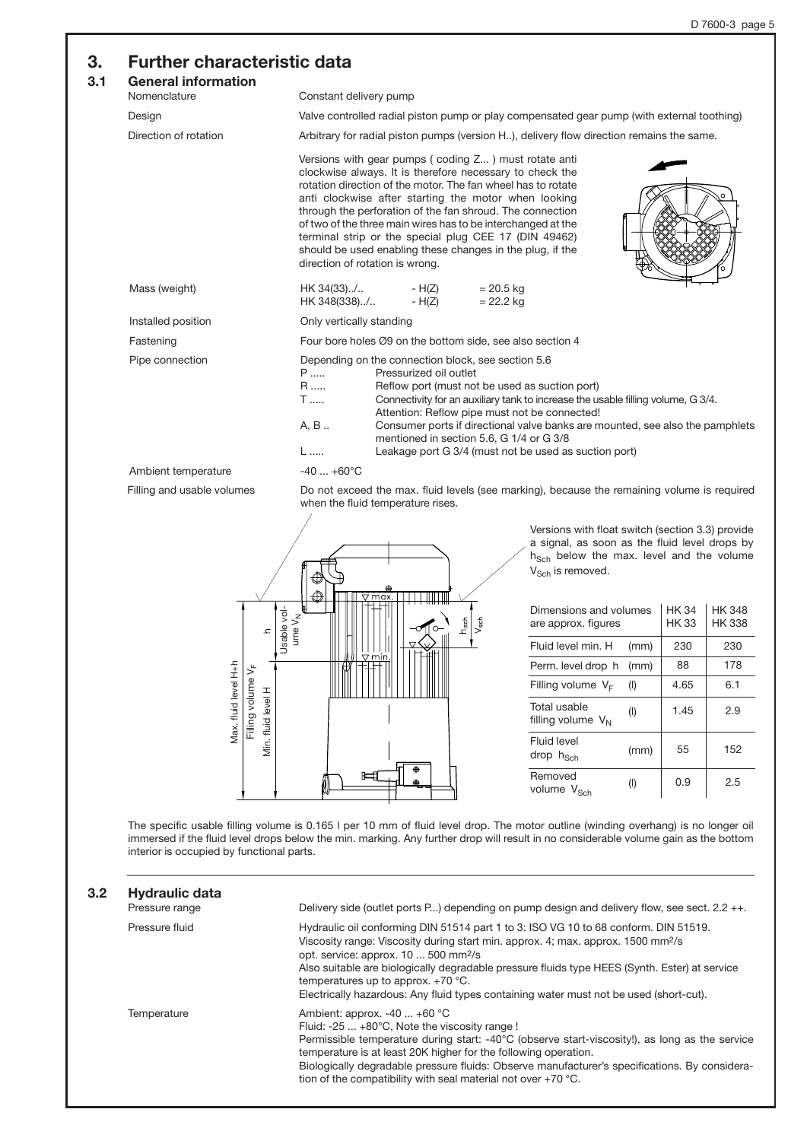# **3. Further characteristic data**

## **3.1**

| ı. | General information<br>Nomenclature | Constant delivery pump                                                                                                                                                                                                                                                                                                                                                                                                                                                                                                         |
|----|-------------------------------------|--------------------------------------------------------------------------------------------------------------------------------------------------------------------------------------------------------------------------------------------------------------------------------------------------------------------------------------------------------------------------------------------------------------------------------------------------------------------------------------------------------------------------------|
|    | Design                              | Valve controlled radial piston pump or play compensated gear pump (with external toothing)                                                                                                                                                                                                                                                                                                                                                                                                                                     |
|    | Direction of rotation               | Arbitrary for radial piston pumps (version H), delivery flow direction remains the same.                                                                                                                                                                                                                                                                                                                                                                                                                                       |
|    |                                     | Versions with gear pumps (coding Z) must rotate anti<br>clockwise always. It is therefore necessary to check the<br>rotation direction of the motor. The fan wheel has to rotate<br>anti clockwise after starting the motor when looking<br>through the perforation of the fan shroud. The connection<br>of two of the three main wires has to be interchanged at the<br>terminal strip or the special plug CEE 17 (DIN 49462)<br>should be used enabling these changes in the plug, if the<br>direction of rotation is wrong. |
|    | Mass (weight)                       | HK 34(33)/ - H(Z)<br>$= 20.5$ kg<br>HK 348(338)/ - H(Z)<br>$= 22.2$ kg                                                                                                                                                                                                                                                                                                                                                                                                                                                         |
|    | Installed position                  | Only vertically standing                                                                                                                                                                                                                                                                                                                                                                                                                                                                                                       |
|    | Fastening                           | Four bore holes Ø9 on the bottom side, see also section 4                                                                                                                                                                                                                                                                                                                                                                                                                                                                      |
|    | Pipe connection                     | Depending on the connection block, see section 5.6<br>P<br>Pressurized oil outlet<br>R<br>Reflow port (must not be used as suction port)<br><b>T</b><br>Connectivity for an auxiliary tank to increase the usable filling volume, G 3/4.<br>Attention: Reflow pipe must not be connected!<br>A, B<br>Consumer ports if directional valve banks are mounted, see also the pamphlets<br>mentioned in section 5.6, G 1/4 or G 3/8<br>Leakage port G 3/4 (must not be used as suction port)<br>$L$                                 |
|    | Ambient temperature                 | $-40+60^{\circ}C$                                                                                                                                                                                                                                                                                                                                                                                                                                                                                                              |
|    | Filling and usable volumes          | Do not exceed the max. fluid levels (see marking), because the remaining volume is required<br>when the fluid temperature rises.<br>$\prime$                                                                                                                                                                                                                                                                                                                                                                                   |



Versions with float switch (section 3.3) provide a signal, as soon as the fluid level drops by  $h_{Sch}$  below the max. level and the volume  $V_{Sch}$  is removed.

| Dimensions and volumes<br>are approx. figures | HK 34<br>HK 33 | HK 348<br><b>HK338</b> |     |
|-----------------------------------------------|----------------|------------------------|-----|
| Fluid level min. H                            | (mm)           | 230                    | 230 |
| Perm. level drop h                            | (mm)           | 88                     | 178 |
| Filling volume $V_F$                          | (1)            | 4.65                   | 6.1 |
| Total usable<br>filling volume $V_{N}$        | $($ l $)$      | 1.45                   | 2.9 |
| Fluid level<br>drop h <sub>Sch</sub>          | (mm)           | 55                     | 152 |
| Removed<br>volume V <sub>Sch</sub>            | $($ l $)$      | 0.9                    | 2.5 |

The specific usable filling volume is 0.165 l per 10 mm of fluid level drop. The motor outline (winding overhang) is no longer oil immersed if the fluid level drops below the min. marking. Any further drop will result in no considerable volume gain as the bottom interior is occupied by functional parts.

| 3.2 <sub>2</sub> | Hydraulic data<br>Pressure range | Delivery side (outlet ports P) depending on pump design and delivery flow, see sect. $2.2 + +$ .                                                                                                                                                                                                                                                                                                                                                                           |
|------------------|----------------------------------|----------------------------------------------------------------------------------------------------------------------------------------------------------------------------------------------------------------------------------------------------------------------------------------------------------------------------------------------------------------------------------------------------------------------------------------------------------------------------|
|                  | Pressure fluid                   | Hydraulic oil conforming DIN 51514 part 1 to 3: ISO VG 10 to 68 conform. DIN 51519.<br>Viscosity range: Viscosity during start min. approx. 4; max. approx. 1500 mm <sup>2</sup> /s<br>opt. service: approx. $10500$ mm <sup>2</sup> /s<br>Also suitable are biologically degradable pressure fluids type HEES (Synth. Ester) at service<br>temperatures up to approx. $+70$ °C.<br>Electrically hazardous: Any fluid types containing water must not be used (short-cut). |
|                  | Temperature                      | Ambient: approx. $-40$ $+60$ °C<br>Fluid: -25  +80°C, Note the viscosity range !<br>Permissible temperature during start: $-40^{\circ}$ C (observe start-viscosity!), as long as the service<br>temperature is at least 20K higher for the following operation.<br>Biologically degradable pressure fluids: Observe manufacturer's specifications. By considera-<br>tion of the compatibility with seal material not over $+70$ °C.                                        |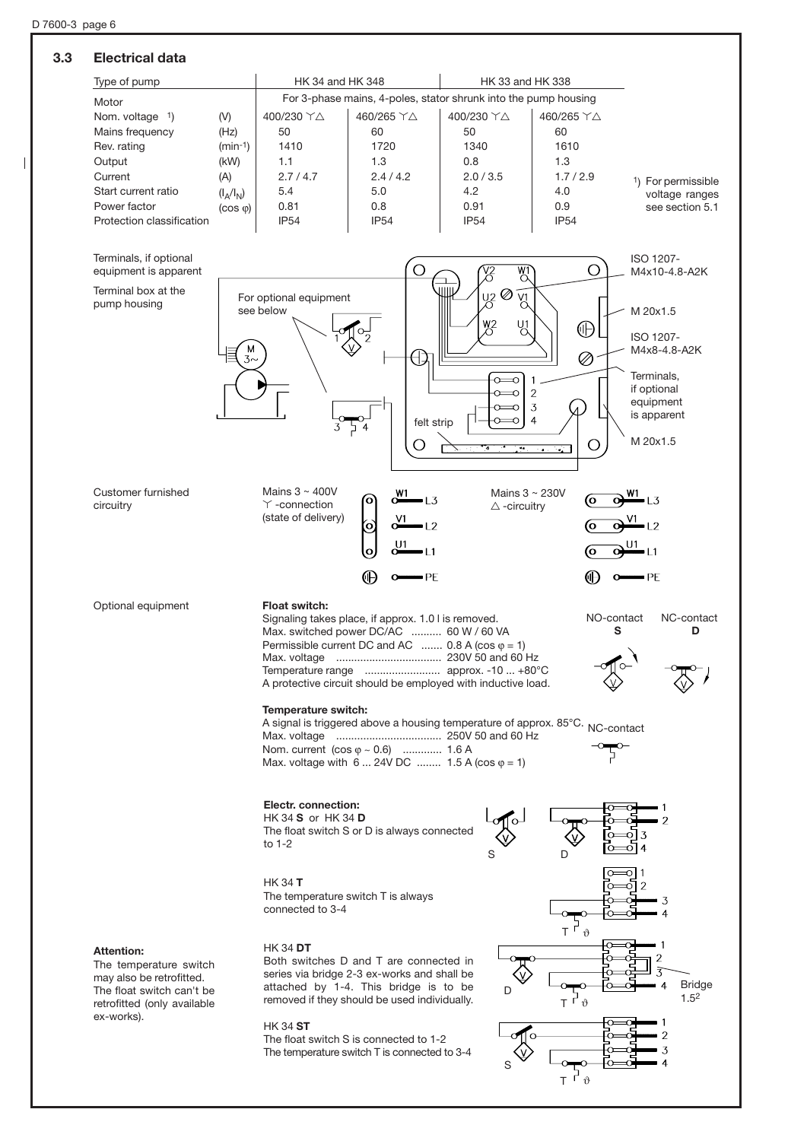### **3.3 Electrical data**



 $\top$ 

 $\vartheta$ 

무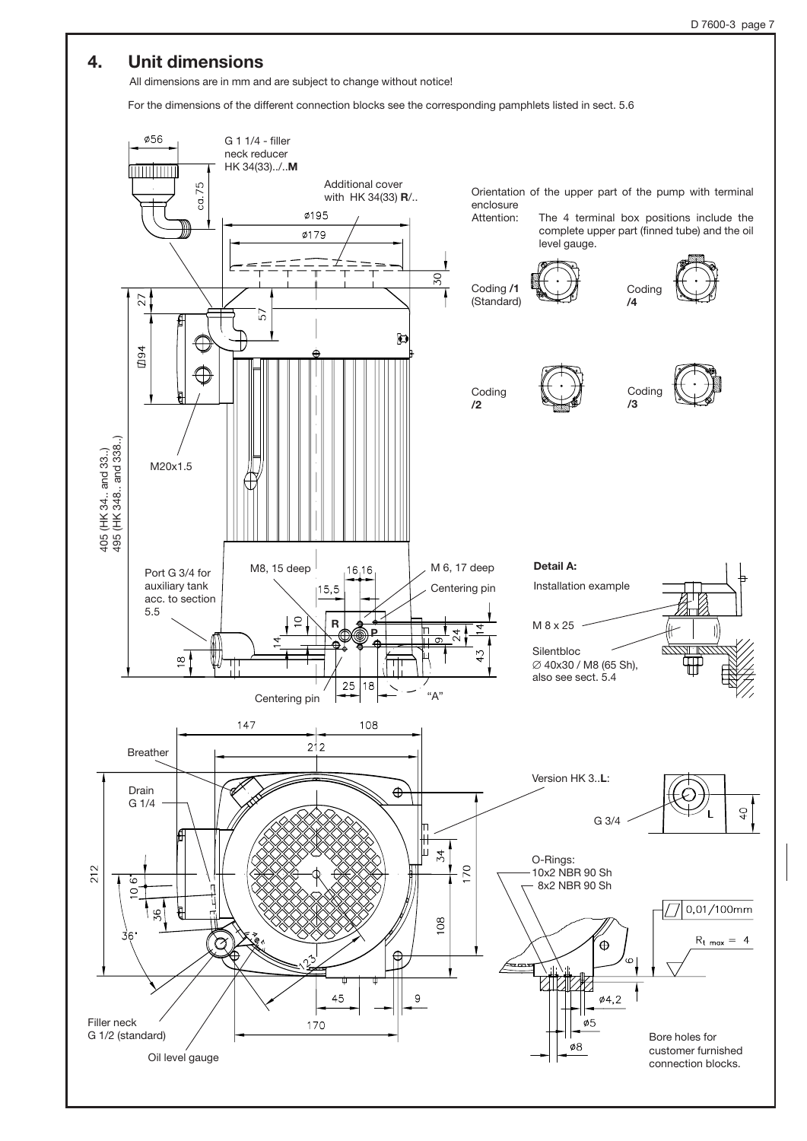# **4. Unit dimensions**

All dimensions are in mm and are subject to change without notice!

For the dimensions of the different connection blocks see the corresponding pamphlets listed in sect. 5.6

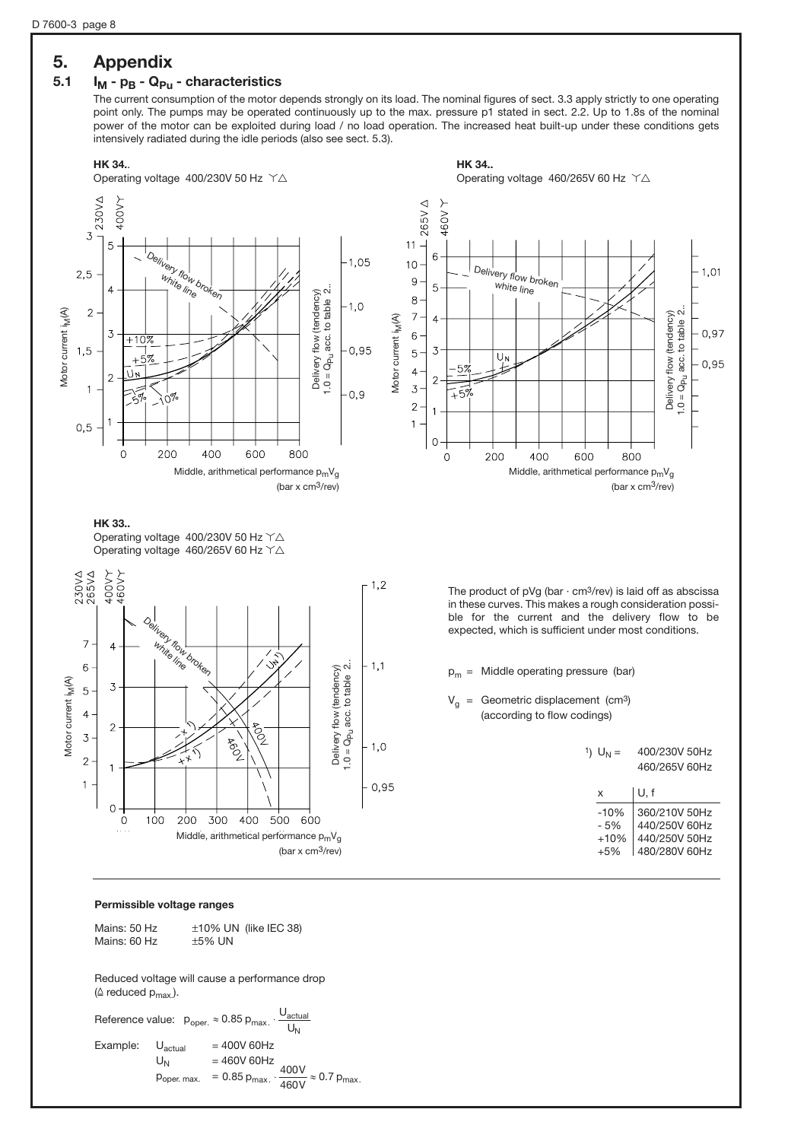# **5. Appendix**

# 5.1 **I<sub>M</sub>** -  $p_B$  -  $Q_{p_U}$  - characteristics

The current consumption of the motor depends strongly on its load. The nominal figures of sect. 3.3 apply strictly to one operating point only. The pumps may be operated continuously up to the max. pressure p1 stated in sect. 2.2. Up to 1.8s of the nominal power of the motor can be exploited during load / no load operation. The increased heat built-up under these conditions gets intensively radiated during the idle periods (also see sect. 5.3).



#### **Permissible voltage ranges**

Mains: 50 Hz  $\pm$ 10% UN (like IEC 38)<br>Mains: 60 Hz  $\pm$ 5% UN  $Mains: 60 Hz$ 

Reduced voltage will cause a performance drop ( $\triangle$  reduced  $p_{max}$ ).

Reference value:  $p_{\text{oper.}} \approx 0.85 p_{\text{max.}} \cdot \frac{Q_{\text{actual}}}{U_N}$ Example:  $U_{\text{actual}}$  = 400V 60Hz<br> $U_{\text{N}}$  = 460V 60Hz  $U_N$  = 460V 60Hz  $p_{\text{oper. max.}} = 0.85 p_{\text{max.}} \cdot \frac{400 \text{ V}}{460 \text{ V}} \approx 0.7 p_{\text{max.}}$ N U<sub>actual</sub>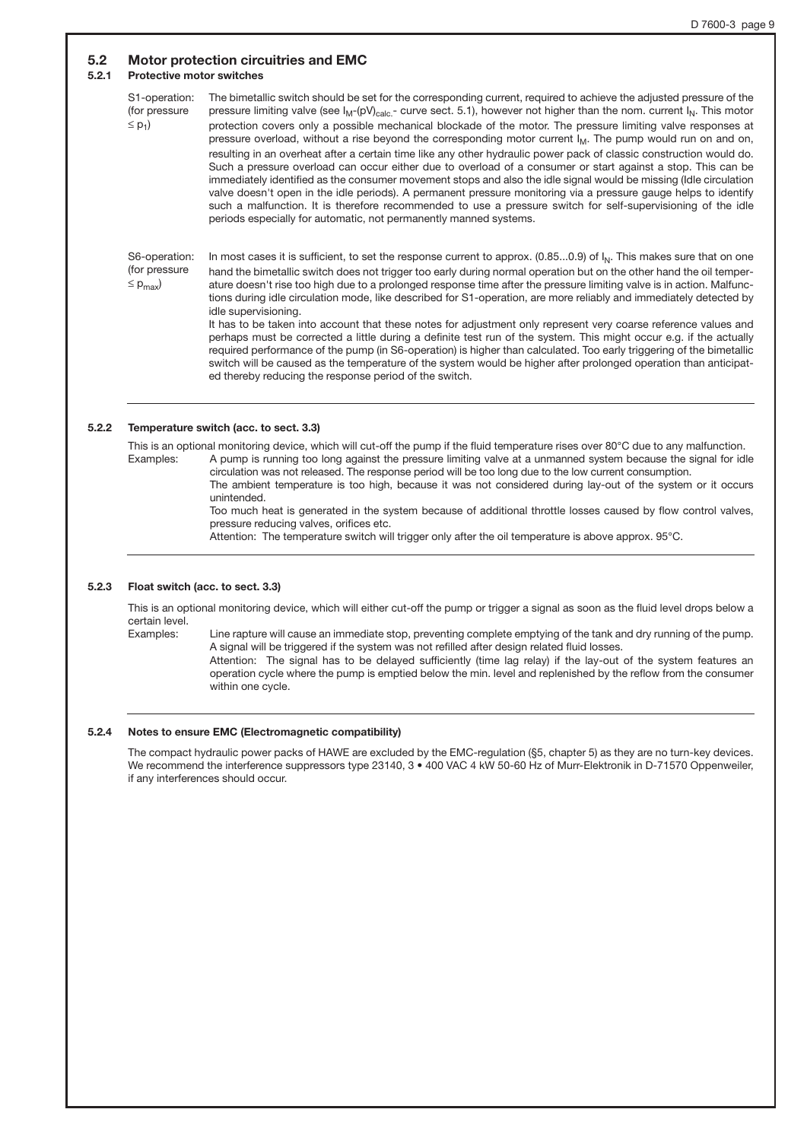#### **5.2 Motor protection circuitries and EMC**

#### **5.2.1 Protective motor switches**

S1-operation: (for pressure  $\leq$  p<sub>1</sub>) The bimetallic switch should be set for the corresponding current, required to achieve the adjusted pressure of the pressure limiting valve (see  $I_M$ -(pV)<sub>calc.</sub>- curve sect. 5.1), however not higher than the nom. current  $I_M$ . This motor protection covers only a possible mechanical blockade of the motor. The pressure limiting valve responses at pressure overload, without a rise beyond the corresponding motor current  $I_M$ . The pump would run on and on, resulting in an overheat after a certain time like any other hydraulic power pack of classic construction would do. Such a pressure overload can occur either due to overload of a consumer or start against a stop. This can be immediately identified as the consumer movement stops and also the idle signal would be missing (Idle circulation valve doesn't open in the idle periods). A permanent pressure monitoring via a pressure gauge helps to identify such a malfunction. It is therefore recommended to use a pressure switch for self-supervisioning of the idle periods especially for automatic, not permanently manned systems.

S6-operation: (for pressure  $\leq$  p<sub>max</sub>) In most cases it is sufficient, to set the response current to approx. (0.85...0.9) of  $I_N$ . This makes sure that on one hand the bimetallic switch does not trigger too early during normal operation but on the other hand the oil temperature doesn't rise too high due to a prolonged response time after the pressure limiting valve is in action. Malfunctions during idle circulation mode, like described for S1-operation, are more reliably and immediately detected by idle supervisioning.

> It has to be taken into account that these notes for adjustment only represent very coarse reference values and perhaps must be corrected a little during a definite test run of the system. This might occur e.g. if the actually required performance of the pump (in S6-operation) is higher than calculated. Too early triggering of the bimetallic switch will be caused as the temperature of the system would be higher after prolonged operation than anticipated thereby reducing the response period of the switch.

#### **5.2.2 Temperature switch (acc. to sect. 3.3)**

This is an optional monitoring device, which will cut-off the pump if the fluid temperature rises over 80°C due to any malfunction. Examples: A pump is running too long against the pressure limiting valve at a unmanned system because the signal for idle circulation was not released. The response period will be too long due to the low current consumption.

The ambient temperature is too high, because it was not considered during lay-out of the system or it occurs unintended.

Too much heat is generated in the system because of additional throttle losses caused by flow control valves, pressure reducing valves, orifices etc.

Attention: The temperature switch will trigger only after the oil temperature is above approx. 95°C.

#### **5.2.3 Float switch (acc. to sect. 3.3)**

This is an optional monitoring device, which will either cut-off the pump or trigger a signal as soon as the fluid level drops below a certain level.

Examples: Line rapture will cause an immediate stop, preventing complete emptying of the tank and dry running of the pump. A signal will be triggered if the system was not refilled after design related fluid losses. Attention: The signal has to be delayed sufficiently (time lag relay) if the lay-out of the system features an operation cycle where the pump is emptied below the min. level and replenished by the reflow from the consumer

#### **5.2.4 Notes to ensure EMC (Electromagnetic compatibility)**

within one cycle.

The compact hydraulic power packs of HAWE are excluded by the EMC-regulation (§5, chapter 5) as they are no turn-key devices. We recommend the interference suppressors type 23140, 3 • 400 VAC 4 kW 50-60 Hz of Murr-Elektronik in D-71570 Oppenweiler, if any interferences should occur.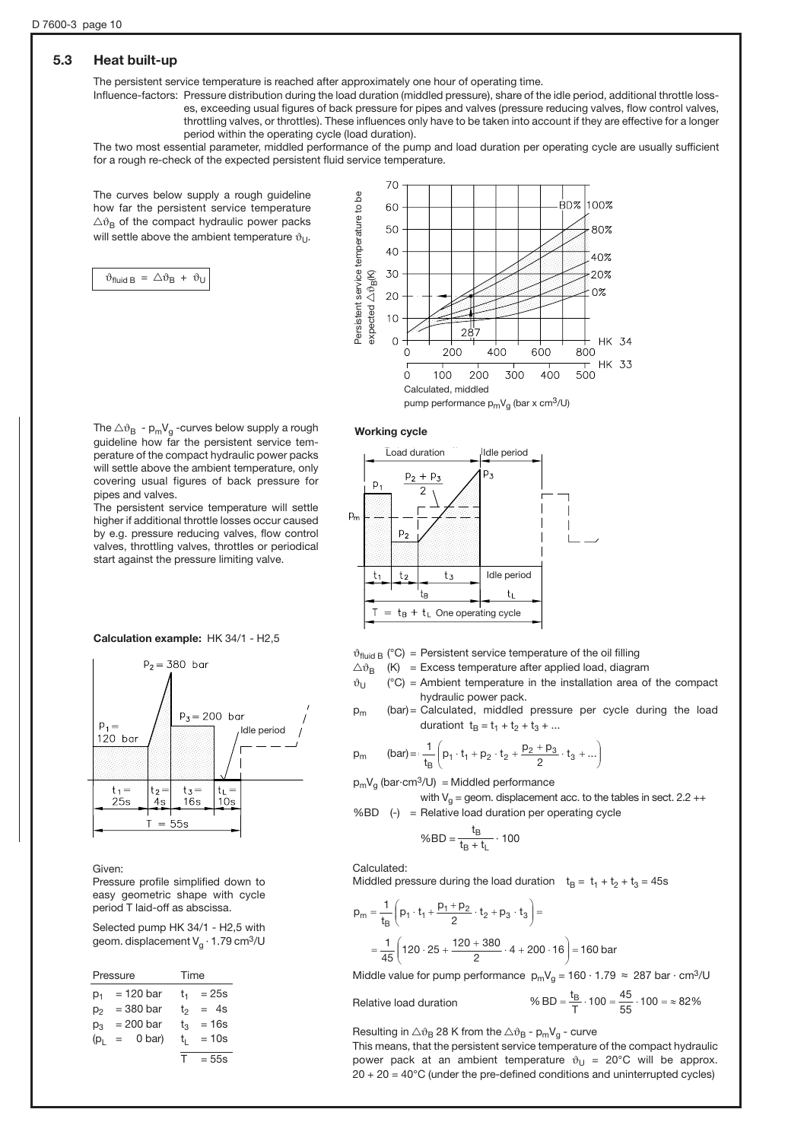## **5.3 Heat built-up**

The persistent service temperature is reached after approximately one hour of operating time.

Influence-factors: Pressure distribution during the load duration (middled pressure), share of the idle period, additional throttle losses, exceeding usual figures of back pressure for pipes and valves (pressure reducing valves, flow control valves, throttling valves, or throttles). These influences only have to be taken into account if they are effective for a longer

period within the operating cycle (load duration).

The two most essential parameter, middled performance of the pump and load duration per operating cycle are usually sufficient for a rough re-check of the expected persistent fluid service temperature.

The curves below supply a rough guideline how far the persistent service temperature  $\triangle$  $\vartheta_B$  of the compact hydraulic power packs will settle above the ambient temperature  $\vartheta_{U}$ .

 $\vartheta_{\text{fluid B}} = \triangle \vartheta_{\text{B}} + \vartheta_{\text{U}}$ 



#### **Working cycle**

The  $\triangle v_B$  - p<sub>m</sub>V<sub>g</sub> -curves below supply a rough guideline how far the persistent service temperature of the compact hydraulic power packs will settle above the ambient temperature, only covering usual figures of back pressure for pipes and valves.

The persistent service temperature will settle higher if additional throttle losses occur caused by e.g. pressure reducing valves, flow control valves, throttling valves, throttles or periodical start against the pressure limiting valve.

**Calculation example:** HK 34/1 - H2,5



Given:

Pressure profile simplified down to easy geometric shape with cycle period T laid-off as abscissa.

Selected pump HK 34/1 - H2,5 with geom. displacement  $V_a \cdot 1.79$  cm<sup>3</sup>/U

|                 | Pressure      | Time          |
|-----------------|---------------|---------------|
| $p_1$           | $= 120$ bar   | $= 25s$<br>t. |
| $p_2$           | $= 380$ bar   | $= 4s$<br>t   |
| $p_3$           | $= 200$ bar   | $= 16s$<br>t, |
| (p <sub>i</sub> | 0 bar)<br>$=$ | $= 10s$<br>t, |
|                 |               | т<br>$= 55s$  |



 $\vartheta_{\text{fluid B}}$  (°C) = Persistent service temperature of the oil filling

- $\triangle v_B$  (K) = Excess temperature after applied load, diagram
- $\vartheta_U$  (°C) = Ambient temperature in the installation area of the compact hydraulic power pack.
- $p_m$  (bar) = Calculated, middled pressure per cycle during the load durationt  $t_B = t_1 + t_2 + t_3 + ...$

˜ ˜ ¯

$$
(\text{bar}) =: \frac{1}{t_B} \left( p_1 \cdot t_1 + p_2 \cdot t_2 + \frac{p_2 + p_3}{2} \cdot t_3 + ... \right)
$$

 $p_mV_q$  (bar·cm<sup>3</sup>/U) = Middled performance

with  $V_q$  = geom. displacement acc. to the tables in sect. 2.2 ++ %BD (-) = Relative load duration per operating cycle

$$
\%BD = \frac{t_B}{t_B + t_L} \cdot 100
$$

Calculated:

 $p_m$ 

Middled pressure during the load duration  $t_B = t_1 + t_2 + t_3 = 45s$ 

$$
p_m = \frac{1}{t_B} \left( p_1 \cdot t_1 + \frac{p_1 + p_2}{2} \cdot t_2 + p_3 \cdot t_3 \right) =
$$
  
= 
$$
\frac{1}{45} \left( 120 \cdot 25 + \frac{120 + 380}{2} \cdot 4 + 200 \cdot 16 \right) = 160 \text{ bar}
$$

Middle value for pump performance  $p_mV_q = 160 \cdot 1.79 \approx 287$  bar  $\cdot$  cm<sup>3</sup>/U

Relative load duration

% BD = 
$$
\frac{t_B}{T} \cdot 100 = \frac{45}{55} \cdot 100 = \approx 82\%
$$

Resulting in  $\triangle v_B$  28 K from the  $\triangle v_B$  - p<sub>m</sub>V<sub>a</sub> - curve

This means, that the persistent service temperature of the compact hydraulic power pack at an ambient temperature  $\vartheta_U = 20^{\circ}C$  will be approx.  $20 + 20 = 40^{\circ}$ C (under the pre-defined conditions and uninterrupted cycles)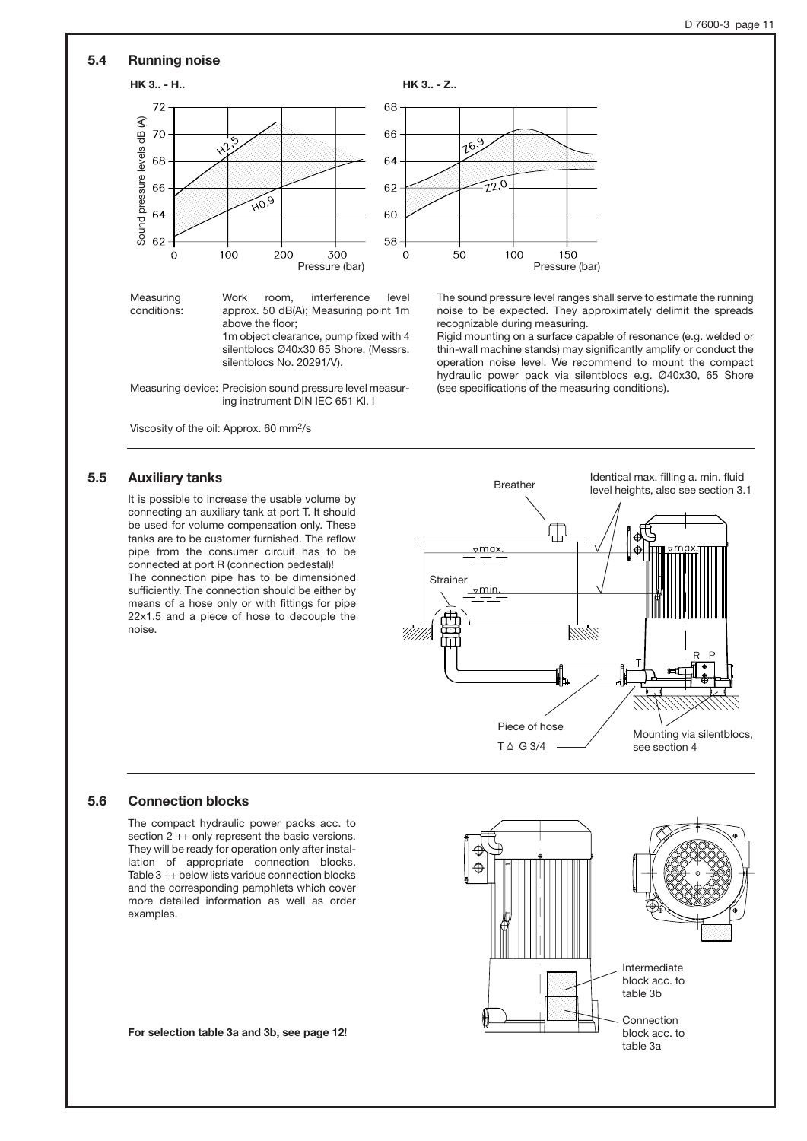#### **5.4 Running noise**



Work room, interference level approx. 50 dB(A); Measuring point 1m above the floor; 1m object clearance, pump fixed with 4 silentblocs Ø40x30 65 Shore, (Messrs.

Measuring device: Precision sound pressure level measuring instrument DIN IEC 651 Kl. I

silentblocs No. 20291/V).

Viscosity of the oil: Approx. 60 mm2/s

#### **5.5 Auxiliary tanks**

Measuring conditions:

It is possible to increase the usable volume by connecting an auxiliary tank at port T. It should be used for volume compensation only. These tanks are to be customer furnished. The reflow pipe from the consumer circuit has to be connected at port R (connection pedestal)! The connection pipe has to be dimensioned sufficiently. The connection should be either by means of a hose only or with fittings for pipe 22x1.5 and a piece of hose to decouple the noise.

Identical max. filling a. min. fluid level heights, also see section 3.1<br>level heights, also see section 3.1 卬  $\nabla$ max **Strainer**  $\nabla$ min 777777 1111111

> Piece of hose  $T \triangleq G$  3/4

The sound pressure level ranges shall serve to estimate the running noise to be expected. They approximately delimit the spreads

Rigid mounting on a surface capable of resonance (e.g. welded or thin-wall machine stands) may significantly amplify or conduct the operation noise level. We recommend to mount the compact hydraulic power pack via silentblocs e.g. Ø40x30, 65 Shore

recognizable during measuring.

(see specifications of the measuring conditions).

**5.6 Connection blocks**

The compact hydraulic power packs acc. to section 2 ++ only represent the basic versions. They will be ready for operation only after installation of appropriate connection blocks. Table 3 ++ below lists various connection blocks and the corresponding pamphlets which cover more detailed information as well as order examples.

**For selection table 3a and 3b, see page 12!**



Mounting via silentblocs,

see section 4